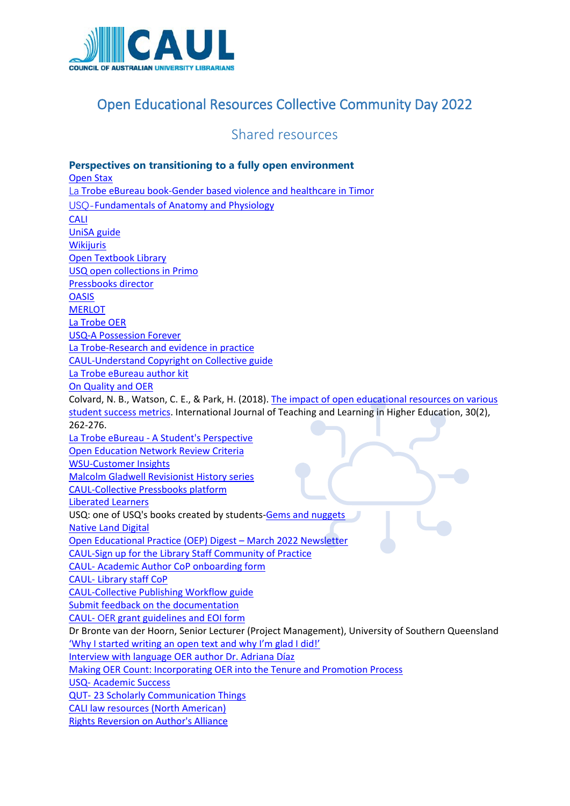

## Open Educational Resources Collective Community Day 2022

Shared resources

**Perspectives on transitioning to a fully open environment** [Open Stax](https://openstax.org/) La [Trobe eBureau book-Gender based violence and healthcare in Timor](https://library.latrobe.edu.au/ebureau/ebook.html#genderbased) [USQ-](https://usq.pressbooks.pub/anatomy/)[Fundamentals of Anatomy and Physiology](https://usq.pressbooks.pub/anatomy/) [CALI](https://www.cali.org/the-elangdell-bookstore) [UniSA guide](https://guides.library.unisa.edu.au/OER) **[Wikijuris](https://wikijuris.net/)** [Open Textbook Library](https://open.umn.edu/opentextbooks) [USQ open collections in Primo](https://usq.primo.exlibrisgroup.com/discovery/collectionDiscovery?vid=61UOSQ_INST:61USQ) [Pressbooks director](https://pressbooks.directory/) **[OASIS](https://oasis.geneseo.edu/index.php) [MERLOT](https://www.merlot.org/merlot/)** [La Trobe OER](https://www.latrobe.edu.au/library/teaching-support/oer/find-oer) [USQ-A Possession Forever](https://usq.pressbooks.pub/apossessionforever/) [La Trobe-Research and evidence in practice](https://library.latrobe.edu.au/ebureau/ebook.html#researchevidence) [CAUL-Understand Copyright on Collective guide](https://caul.libguides.com/oer-collective-publishing-workflow/initiate/copyright) [La Trobe eBureau author kit](https://opal.latrobe.edu.au/articles/educational_resource/La_Trobe_eBureau_author_kit/13116455) [On Quality and OER](https://opencontent.org/blog/archives/2947) Colvard, N. B., Watson, C. E., & Park, H. (2018). [The impact of open educational resources on various](https://eric.ed.gov/?id=EJ1184998)  [student success metrics.](https://eric.ed.gov/?id=EJ1184998) International Journal of Teaching and Learning in Higher Education, 30(2), 262-276. La Trobe eBureau - [A Student's Perspective](https://www.youtube.com/watch?v=X9dNbdaHNuQ) [Open Education Network Review Criteria](https://open.umn.edu/opentextbooks/reviews/rubric) [WSU-Customer Insights](https://westernsydney.pressbooks.pub/customerinsights/) [Malcolm Gladwell Revisionist History series](http://tun.in/thvXnn) [CAUL-Collective Pressbooks platform](https://oercollective.caul.edu.au/) [Liberated Learners](https://ecampusontario.pressbooks.pub/learner/) USQ: one of USQ's books created by students[-Gems and nuggets](https://usq.pressbooks.pub/gemsandnuggets1/) [Native Land Digital](https://native-land.ca/) [Open Educational Practice \(OEP\) Digest –](https://oepoz.wordpress.com/2022/03/06/open-educational-practice-oep-digest-march-2022/) March 2022 Newsletter [CAUL-Sign up for the Library Staff Community of Practice](https://lists.caul.edu.au/mailman/listinfo/oerlibrary) CAUL- [Academic Author CoP onboarding form](https://airtable.com/shrvipQ21N06sHrnc) CAUL- [Library staff CoP](https://lists.caul.edu.au/mailman/listinfo/oerlibrary) [CAUL-Collective Publishing Workflow guide](https://caul.libguides.com/oer-collective-publishing-workflow/initiate/copyright) [Submit feedback on the documentation](https://airtable.com/shrqFnrrYL2S38gav) CAUL- OER [grant guidelines and EOI form](https://oercollective.caul.edu.au/grants/) Dr Bronte van der Hoorn, Senior Lecturer (Project Management), University of Southern Queensland ['Why I started writing an open text and why I'm glad I did!'](http://moderncurriculum.caul.edu.au/2022/03/25/why-i-started-writing-an-open-text-and-why-im-glad-i-did/) [Interview with language OER author Dr. Adriana Díaz](https://pressbooks.com/2022/02/10/interview-with-language-oer-author-dr-adriana-diaz/) [Making OER Count: Incorporating OER into the Tenure and Promotion Process](https://bccampus.ca/event/making-oer-count-incorporating-oer-into-the-tenure-and-promotion-process-2/?instance_id=3454) USQ- [Academic Success](https://usq.pressbooks.pub/academicsuccess/) QUT- [23 Scholarly Communication Things](https://qut.pressbooks.pub/23scholarlycommunicationthings/) [CALI law resources \(North American\)](https://www.cali.org/the-elangdell-bookstore) [Rights Reversion on Author's Alliance](https://www.authorsalliance.org/resources/rights-reversion-portal/)